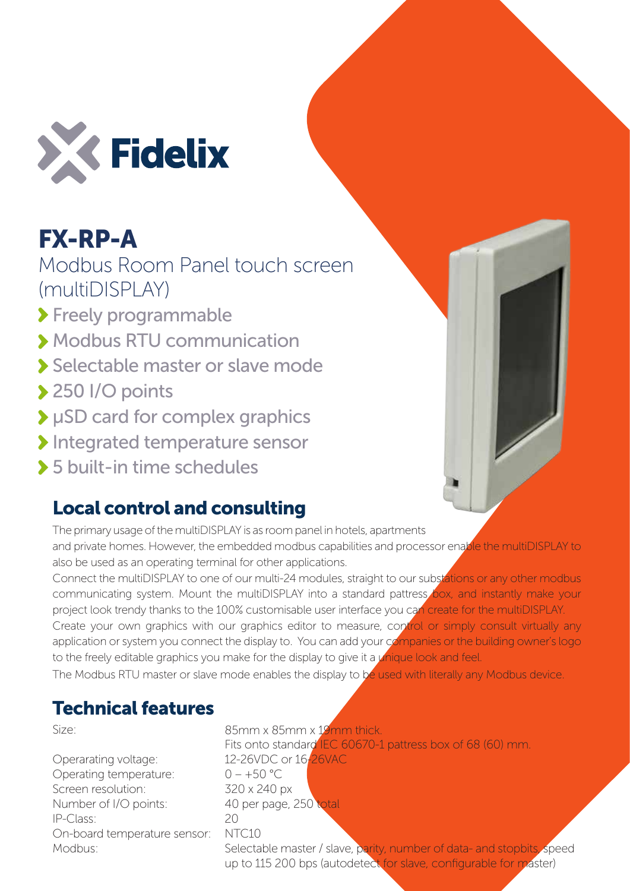

## FX-RP-A

Modbus Room Panel touch screen (multiDISPLAY)

> Freely programmable

- Modbus RTU communication
- Selectable master or slave mode
- ◆ 250 I/O points
- μSD card for complex graphics
- Integrated temperature sensor
- 5 built-in time schedules

## Local control and consulting

The primary usage of the multiDISPLAY is as room panel in hotels, apartments and private homes. However, the embedded modbus capabilities and processor enable the multiDISPLAY to also be used as an operating terminal for other applications.

Connect the multiDISPLAY to one of our multi-24 modules, straight to our substations or any other modbus communicating system. Mount the multiDISPLAY into a standard pattress box, and instantly make your project look trendy thanks to the 100% customisable user interface you can create for the multiDISPLAY. Create your own graphics with our graphics editor to measure, control or simply consult virtually any application or system you connect the display to. You can add your companies or the building owner's logo to the freely editable graphics you make for the display to give it a *unique look and feel.* 

The Modbus RTU master or slave mode enables the display to be used with literally any Modbus device.

## Technical features

Size:

Operarating voltage: Operating temperature: Screen resolution: Number of I/O points: IP-Class: On-board temperature sensor: Modbus:

85mm x 85mm x 19mm thick. Fits onto standard **IEC 60670-1 pattress box of 68 (60) mm.** 12-26VDC or 16-26VAC  $0 - +50$  °C 320 x 240 px 40 per page, 250 total  $20$ NTC10

Selectable master / slave, parity, number of data- and stopbits, speed up to 115 200 bps (autodetect for slave, configurable for master)